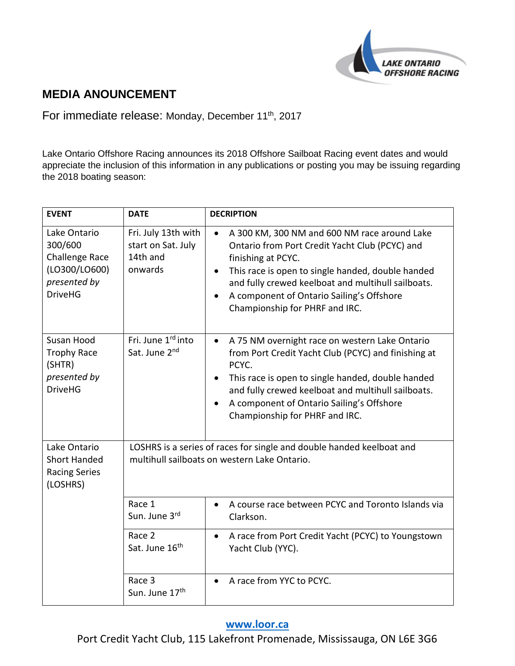

## **MEDIA ANOUNCEMENT**

For immediate release: Monday, December 11<sup>th</sup>, 2017

Lake Ontario Offshore Racing announces its 2018 Offshore Sailboat Racing event dates and would appreciate the inclusion of this information in any publications or posting you may be issuing regarding the 2018 boating season:

| <b>EVENT</b>                                                                                 | <b>DATE</b>                                                                                                                                                                                        | <b>DECRIPTION</b>                                                                                                                                                                                                                                                                                                                                     |  |
|----------------------------------------------------------------------------------------------|----------------------------------------------------------------------------------------------------------------------------------------------------------------------------------------------------|-------------------------------------------------------------------------------------------------------------------------------------------------------------------------------------------------------------------------------------------------------------------------------------------------------------------------------------------------------|--|
| Lake Ontario<br>300/600<br>Challenge Race<br>(LO300/LO600)<br>presented by<br><b>DriveHG</b> | Fri. July 13th with<br>start on Sat. July<br>14th and<br>onwards                                                                                                                                   | A 300 KM, 300 NM and 600 NM race around Lake<br>$\bullet$<br>Ontario from Port Credit Yacht Club (PCYC) and<br>finishing at PCYC.<br>This race is open to single handed, double handed<br>$\bullet$<br>and fully crewed keelboat and multihull sailboats.<br>A component of Ontario Sailing's Offshore<br>$\bullet$<br>Championship for PHRF and IRC. |  |
| Susan Hood<br><b>Trophy Race</b><br>(SHTR)<br>presented by<br><b>DriveHG</b>                 | Fri. June 1rd into<br>Sat. June 2nd                                                                                                                                                                | A 75 NM overnight race on western Lake Ontario<br>$\bullet$<br>from Port Credit Yacht Club (PCYC) and finishing at<br>PCYC.<br>This race is open to single handed, double handed<br>and fully crewed keelboat and multihull sailboats.<br>A component of Ontario Sailing's Offshore<br>Championship for PHRF and IRC.                                 |  |
| Lake Ontario<br><b>Short Handed</b><br><b>Racing Series</b><br>(LOSHRS)                      | LOSHRS is a series of races for single and double handed keelboat and<br>multihull sailboats on western Lake Ontario.<br>Race 1<br>A course race between PCYC and Toronto Islands via<br>$\bullet$ |                                                                                                                                                                                                                                                                                                                                                       |  |
|                                                                                              | Sun. June 3rd                                                                                                                                                                                      | Clarkson.                                                                                                                                                                                                                                                                                                                                             |  |
|                                                                                              | Race 2<br>Sat. June 16 <sup>th</sup>                                                                                                                                                               | A race from Port Credit Yacht (PCYC) to Youngstown<br>$\bullet$<br>Yacht Club (YYC).                                                                                                                                                                                                                                                                  |  |
|                                                                                              | Race 3<br>Sun. June 17th                                                                                                                                                                           | A race from YYC to PCYC.<br>$\bullet$                                                                                                                                                                                                                                                                                                                 |  |

## **[www.loor.ca](../../../../../../../../../../User/AppData/Local/Microsoft/Windows/Temporary%20Internet%20Files/Content.IE5/LPBV5RDO/www.loor.ca)**

Port Credit Yacht Club, 115 Lakefront Promenade, Mississauga, ON L6E 3G6